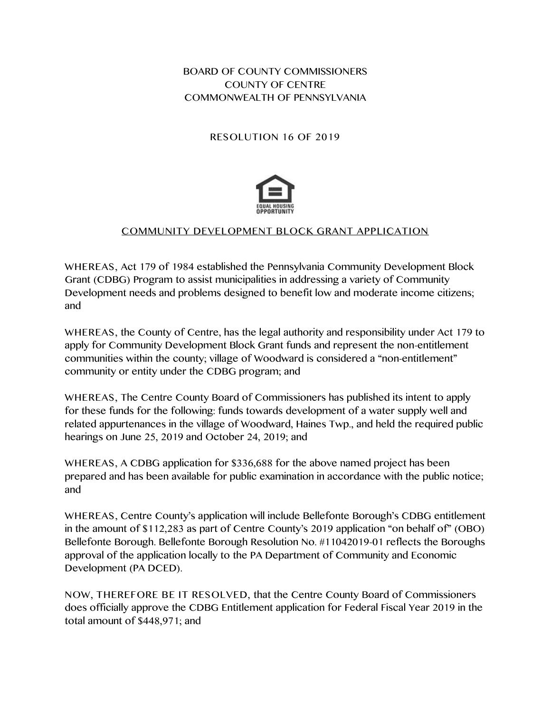BOARD OF COUNTY COMMISSIONERS COUNTY OF CENTRE COMMONWEALTH OF PENNSYLVANIA

## RESOLUTION 16 OF 2019



## COMMUNITY DEVELOPMENT BLOCK GRANT APPLICATION

WHEREAS, Act 179 of 1984 established the Pennsylvania Community Development Block Grant (CDBG) Program to assist municipalities in addressing a variety of Community Development needs and problems designed to benefit low and moderate income citizens; and

WHEREAS, the County of Centre, has the legal authority and responsibility under Act 179 to apply for Community Development Block Grant funds and represent the non-entitlement communities within the county; village of Woodward is considered a "non-entitlement" community or entity under the CDBG program; and

WHEREAS, The Centre County Board of Commissioners has published its intent to apply for these funds for the following: funds towards development of a water supply well and related appurtenances in the village of Woodward, Haines Twp., and held the required public hearings on June 25, 2019 and October 24, 2019; and

WHEREAS, A CDBG application for \$336,688 for the above named project has been prepared and has been available for public examination in accordance with the public notice; and

WHEREAS, Centre County's application will include Bellefonte Borough's CDBG entitlement in the amount of \$112,283 as part of Centre County's 2019 application "on behalf of" (OBO) Bellefonte Borough. Bellefonte Borough Resolution No. #11042019-01 reflects the Boroughs approval of the application locally to the PA Department of Community and Economic Development (PA DCED).

NOW, THEREFORE BE IT RESOLVED, that the Centre County Board of Commissioners does officially approve the CDBG Entitlement application for Federal Fiscal Year 2019 in the total amount of \$448,971; and